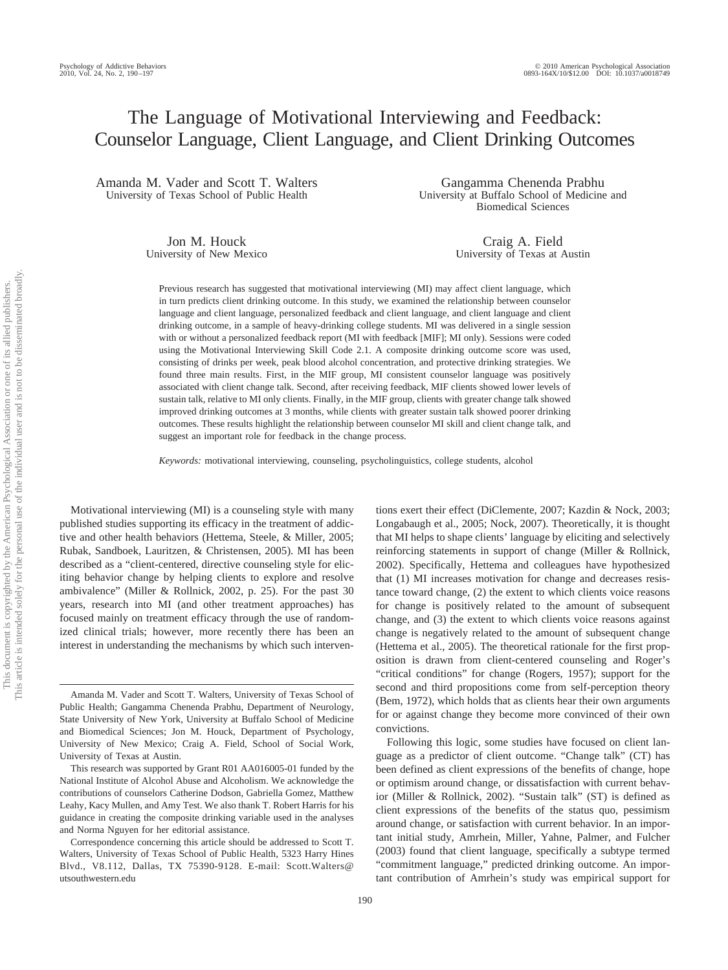# The Language of Motivational Interviewing and Feedback: Counselor Language, Client Language, and Client Drinking Outcomes

Amanda M. Vader and Scott T. Walters University of Texas School of Public Health

> Jon M. Houck University of New Mexico

Gangamma Chenenda Prabhu University at Buffalo School of Medicine and Biomedical Sciences

> Craig A. Field University of Texas at Austin

Previous research has suggested that motivational interviewing (MI) may affect client language, which in turn predicts client drinking outcome. In this study, we examined the relationship between counselor language and client language, personalized feedback and client language, and client language and client drinking outcome, in a sample of heavy-drinking college students. MI was delivered in a single session with or without a personalized feedback report (MI with feedback [MIF]; MI only). Sessions were coded using the Motivational Interviewing Skill Code 2.1. A composite drinking outcome score was used, consisting of drinks per week, peak blood alcohol concentration, and protective drinking strategies. We found three main results. First, in the MIF group, MI consistent counselor language was positively associated with client change talk. Second, after receiving feedback, MIF clients showed lower levels of sustain talk, relative to MI only clients. Finally, in the MIF group, clients with greater change talk showed improved drinking outcomes at 3 months, while clients with greater sustain talk showed poorer drinking outcomes. These results highlight the relationship between counselor MI skill and client change talk, and suggest an important role for feedback in the change process.

*Keywords:* motivational interviewing, counseling, psycholinguistics, college students, alcohol

Motivational interviewing (MI) is a counseling style with many published studies supporting its efficacy in the treatment of addictive and other health behaviors (Hettema, Steele, & Miller, 2005; Rubak, Sandboek, Lauritzen, & Christensen, 2005). MI has been described as a "client-centered, directive counseling style for eliciting behavior change by helping clients to explore and resolve ambivalence" (Miller & Rollnick, 2002, p. 25). For the past 30 years, research into MI (and other treatment approaches) has focused mainly on treatment efficacy through the use of randomized clinical trials; however, more recently there has been an interest in understanding the mechanisms by which such interventions exert their effect (DiClemente, 2007; Kazdin & Nock, 2003; Longabaugh et al., 2005; Nock, 2007). Theoretically, it is thought that MI helps to shape clients' language by eliciting and selectively reinforcing statements in support of change (Miller & Rollnick, 2002). Specifically, Hettema and colleagues have hypothesized that (1) MI increases motivation for change and decreases resistance toward change, (2) the extent to which clients voice reasons for change is positively related to the amount of subsequent change, and (3) the extent to which clients voice reasons against change is negatively related to the amount of subsequent change (Hettema et al., 2005). The theoretical rationale for the first proposition is drawn from client-centered counseling and Roger's "critical conditions" for change (Rogers, 1957); support for the second and third propositions come from self-perception theory (Bem, 1972), which holds that as clients hear their own arguments for or against change they become more convinced of their own convictions.

Following this logic, some studies have focused on client language as a predictor of client outcome. "Change talk" (CT) has been defined as client expressions of the benefits of change, hope or optimism around change, or dissatisfaction with current behavior (Miller & Rollnick, 2002). "Sustain talk" (ST) is defined as client expressions of the benefits of the status quo, pessimism around change, or satisfaction with current behavior. In an important initial study, Amrhein, Miller, Yahne, Palmer, and Fulcher (2003) found that client language, specifically a subtype termed "commitment language," predicted drinking outcome. An important contribution of Amrhein's study was empirical support for

Amanda M. Vader and Scott T. Walters, University of Texas School of Public Health; Gangamma Chenenda Prabhu, Department of Neurology, State University of New York, University at Buffalo School of Medicine and Biomedical Sciences; Jon M. Houck, Department of Psychology, University of New Mexico; Craig A. Field, School of Social Work, University of Texas at Austin.

This research was supported by Grant R01 AA016005-01 funded by the National Institute of Alcohol Abuse and Alcoholism. We acknowledge the contributions of counselors Catherine Dodson, Gabriella Gomez, Matthew Leahy, Kacy Mullen, and Amy Test. We also thank T. Robert Harris for his guidance in creating the composite drinking variable used in the analyses and Norma Nguyen for her editorial assistance.

Correspondence concerning this article should be addressed to Scott T. Walters, University of Texas School of Public Health, 5323 Harry Hines Blvd., V8.112, Dallas, TX 75390-9128. E-mail: Scott.Walters@ utsouthwestern.edu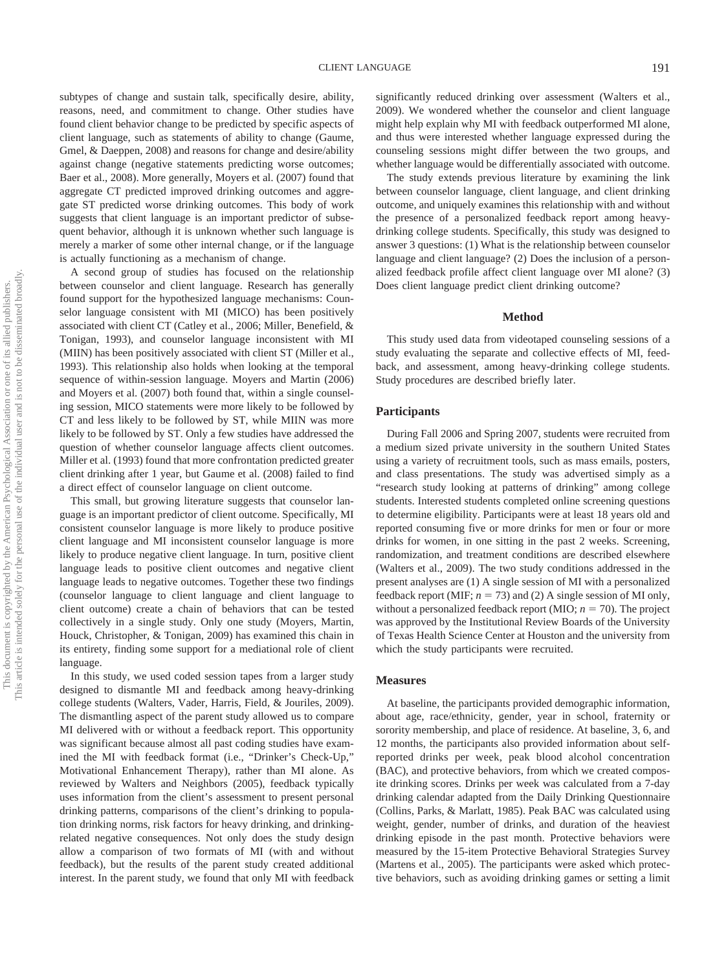subtypes of change and sustain talk, specifically desire, ability, reasons, need, and commitment to change. Other studies have found client behavior change to be predicted by specific aspects of client language, such as statements of ability to change (Gaume, Gmel, & Daeppen, 2008) and reasons for change and desire/ability against change (negative statements predicting worse outcomes; Baer et al., 2008). More generally, Moyers et al. (2007) found that aggregate CT predicted improved drinking outcomes and aggregate ST predicted worse drinking outcomes. This body of work suggests that client language is an important predictor of subsequent behavior, although it is unknown whether such language is merely a marker of some other internal change, or if the language is actually functioning as a mechanism of change.

A second group of studies has focused on the relationship between counselor and client language. Research has generally found support for the hypothesized language mechanisms: Counselor language consistent with MI (MICO) has been positively associated with client CT (Catley et al., 2006; Miller, Benefield, & Tonigan, 1993), and counselor language inconsistent with MI (MIIN) has been positively associated with client ST (Miller et al., 1993). This relationship also holds when looking at the temporal sequence of within-session language. Moyers and Martin (2006) and Moyers et al. (2007) both found that, within a single counseling session, MICO statements were more likely to be followed by CT and less likely to be followed by ST, while MIIN was more likely to be followed by ST. Only a few studies have addressed the question of whether counselor language affects client outcomes. Miller et al. (1993) found that more confrontation predicted greater client drinking after 1 year, but Gaume et al. (2008) failed to find a direct effect of counselor language on client outcome.

This small, but growing literature suggests that counselor language is an important predictor of client outcome. Specifically, MI consistent counselor language is more likely to produce positive client language and MI inconsistent counselor language is more likely to produce negative client language. In turn, positive client language leads to positive client outcomes and negative client language leads to negative outcomes. Together these two findings (counselor language to client language and client language to client outcome) create a chain of behaviors that can be tested collectively in a single study. Only one study (Moyers, Martin, Houck, Christopher, & Tonigan, 2009) has examined this chain in its entirety, finding some support for a mediational role of client language.

In this study, we used coded session tapes from a larger study designed to dismantle MI and feedback among heavy-drinking college students (Walters, Vader, Harris, Field, & Jouriles, 2009). The dismantling aspect of the parent study allowed us to compare MI delivered with or without a feedback report. This opportunity was significant because almost all past coding studies have examined the MI with feedback format (i.e., "Drinker's Check-Up," Motivational Enhancement Therapy), rather than MI alone. As reviewed by Walters and Neighbors (2005), feedback typically uses information from the client's assessment to present personal drinking patterns, comparisons of the client's drinking to population drinking norms, risk factors for heavy drinking, and drinkingrelated negative consequences. Not only does the study design allow a comparison of two formats of MI (with and without feedback), but the results of the parent study created additional interest. In the parent study, we found that only MI with feedback

significantly reduced drinking over assessment (Walters et al., 2009). We wondered whether the counselor and client language might help explain why MI with feedback outperformed MI alone, and thus were interested whether language expressed during the counseling sessions might differ between the two groups, and whether language would be differentially associated with outcome.

The study extends previous literature by examining the link between counselor language, client language, and client drinking outcome, and uniquely examines this relationship with and without the presence of a personalized feedback report among heavydrinking college students. Specifically, this study was designed to answer 3 questions: (1) What is the relationship between counselor language and client language? (2) Does the inclusion of a personalized feedback profile affect client language over MI alone? (3) Does client language predict client drinking outcome?

#### **Method**

This study used data from videotaped counseling sessions of a study evaluating the separate and collective effects of MI, feedback, and assessment, among heavy-drinking college students. Study procedures are described briefly later.

## **Participants**

During Fall 2006 and Spring 2007, students were recruited from a medium sized private university in the southern United States using a variety of recruitment tools, such as mass emails, posters, and class presentations. The study was advertised simply as a "research study looking at patterns of drinking" among college students. Interested students completed online screening questions to determine eligibility. Participants were at least 18 years old and reported consuming five or more drinks for men or four or more drinks for women, in one sitting in the past 2 weeks. Screening, randomization, and treatment conditions are described elsewhere (Walters et al., 2009). The two study conditions addressed in the present analyses are (1) A single session of MI with a personalized feedback report (MIF;  $n = 73$ ) and (2) A single session of MI only, without a personalized feedback report (MIO;  $n = 70$ ). The project was approved by the Institutional Review Boards of the University of Texas Health Science Center at Houston and the university from which the study participants were recruited.

## **Measures**

At baseline, the participants provided demographic information, about age, race/ethnicity, gender, year in school, fraternity or sorority membership, and place of residence. At baseline, 3, 6, and 12 months, the participants also provided information about selfreported drinks per week, peak blood alcohol concentration (BAC), and protective behaviors, from which we created composite drinking scores. Drinks per week was calculated from a 7-day drinking calendar adapted from the Daily Drinking Questionnaire (Collins, Parks, & Marlatt, 1985). Peak BAC was calculated using weight, gender, number of drinks, and duration of the heaviest drinking episode in the past month. Protective behaviors were measured by the 15-item Protective Behavioral Strategies Survey (Martens et al., 2005). The participants were asked which protective behaviors, such as avoiding drinking games or setting a limit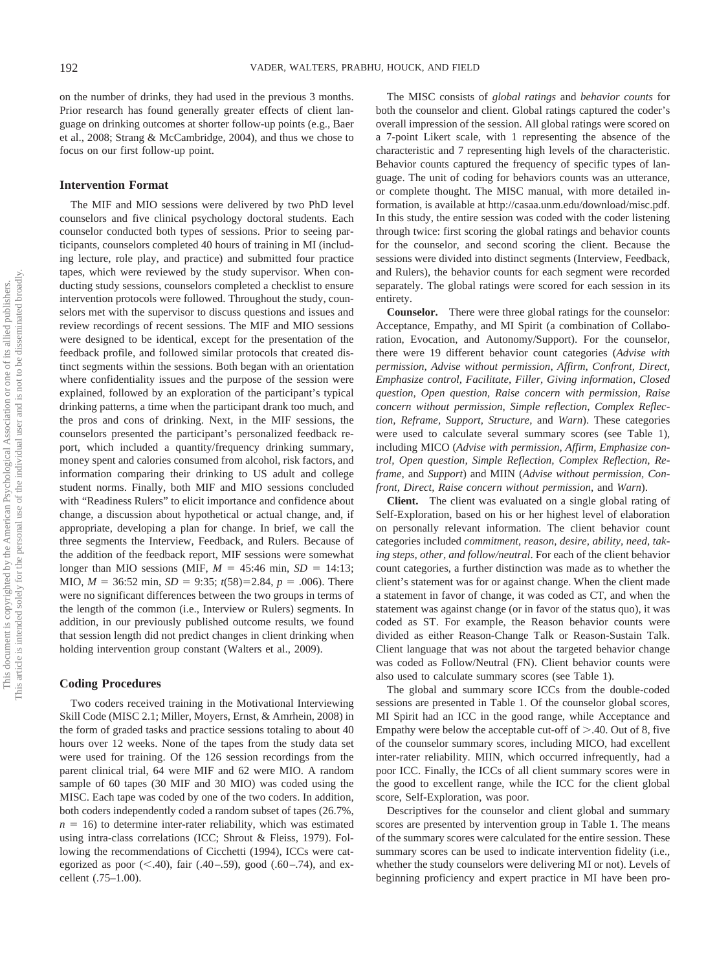on the number of drinks, they had used in the previous 3 months. Prior research has found generally greater effects of client language on drinking outcomes at shorter follow-up points (e.g., Baer et al., 2008; Strang & McCambridge, 2004), and thus we chose to focus on our first follow-up point.

#### **Intervention Format**

The MIF and MIO sessions were delivered by two PhD level counselors and five clinical psychology doctoral students. Each counselor conducted both types of sessions. Prior to seeing participants, counselors completed 40 hours of training in MI (including lecture, role play, and practice) and submitted four practice tapes, which were reviewed by the study supervisor. When conducting study sessions, counselors completed a checklist to ensure intervention protocols were followed. Throughout the study, counselors met with the supervisor to discuss questions and issues and review recordings of recent sessions. The MIF and MIO sessions were designed to be identical, except for the presentation of the feedback profile, and followed similar protocols that created distinct segments within the sessions. Both began with an orientation where confidentiality issues and the purpose of the session were explained, followed by an exploration of the participant's typical drinking patterns, a time when the participant drank too much, and the pros and cons of drinking. Next, in the MIF sessions, the counselors presented the participant's personalized feedback report, which included a quantity/frequency drinking summary, money spent and calories consumed from alcohol, risk factors, and information comparing their drinking to US adult and college student norms. Finally, both MIF and MIO sessions concluded with "Readiness Rulers" to elicit importance and confidence about change, a discussion about hypothetical or actual change, and, if appropriate, developing a plan for change. In brief, we call the three segments the Interview, Feedback, and Rulers. Because of the addition of the feedback report, MIF sessions were somewhat longer than MIO sessions (MIF,  $M = 45:46$  min,  $SD = 14:13$ ; MIO,  $M = 36:52$  min,  $SD = 9:35$ ;  $t(58)=2.84$ ,  $p = .006$ ). There were no significant differences between the two groups in terms of the length of the common (i.e., Interview or Rulers) segments. In addition, in our previously published outcome results, we found that session length did not predict changes in client drinking when holding intervention group constant (Walters et al., 2009).

#### **Coding Procedures**

Two coders received training in the Motivational Interviewing Skill Code (MISC 2.1; Miller, Moyers, Ernst, & Amrhein, 2008) in the form of graded tasks and practice sessions totaling to about 40 hours over 12 weeks. None of the tapes from the study data set were used for training. Of the 126 session recordings from the parent clinical trial, 64 were MIF and 62 were MIO. A random sample of 60 tapes (30 MIF and 30 MIO) was coded using the MISC. Each tape was coded by one of the two coders. In addition, both coders independently coded a random subset of tapes (26.7%,  $n = 16$ ) to determine inter-rater reliability, which was estimated using intra-class correlations (ICC; Shrout & Fleiss, 1979). Following the recommendations of Cicchetti (1994), ICCs were categorized as poor  $(<.40$ ), fair  $(.40-.59)$ , good  $(.60-.74)$ , and excellent (.75–1.00).

The MISC consists of *global ratings* and *behavior counts* for both the counselor and client. Global ratings captured the coder's overall impression of the session. All global ratings were scored on a 7-point Likert scale, with 1 representing the absence of the characteristic and 7 representing high levels of the characteristic. Behavior counts captured the frequency of specific types of language. The unit of coding for behaviors counts was an utterance, or complete thought. The MISC manual, with more detailed information, is available at http://casaa.unm.edu/download/misc.pdf. In this study, the entire session was coded with the coder listening through twice: first scoring the global ratings and behavior counts for the counselor, and second scoring the client. Because the sessions were divided into distinct segments (Interview, Feedback, and Rulers), the behavior counts for each segment were recorded separately. The global ratings were scored for each session in its entirety.

**Counselor.** There were three global ratings for the counselor: Acceptance, Empathy, and MI Spirit (a combination of Collaboration, Evocation, and Autonomy/Support). For the counselor, there were 19 different behavior count categories (*Advise with permission, Advise without permission, Affirm, Confront, Direct, Emphasize control, Facilitate, Filler, Giving information, Closed question, Open question, Raise concern with permission, Raise concern without permission, Simple reflection, Complex Reflection, Reframe, Support, Structure,* and *Warn*). These categories were used to calculate several summary scores (see Table 1), including MICO (*Advise with permission, Affirm, Emphasize control, Open question, Simple Reflection, Complex Reflection, Reframe,* and *Support*) and MIIN (*Advise without permission, Confront, Direct, Raise concern without permission,* and *Warn*).

**Client.** The client was evaluated on a single global rating of Self-Exploration, based on his or her highest level of elaboration on personally relevant information. The client behavior count categories included *commitment, reason, desire, ability, need, taking steps, other, and follow/neutral*. For each of the client behavior count categories, a further distinction was made as to whether the client's statement was for or against change. When the client made a statement in favor of change, it was coded as CT, and when the statement was against change (or in favor of the status quo), it was coded as ST. For example, the Reason behavior counts were divided as either Reason-Change Talk or Reason-Sustain Talk. Client language that was not about the targeted behavior change was coded as Follow/Neutral (FN). Client behavior counts were also used to calculate summary scores (see Table 1).

The global and summary score ICCs from the double-coded sessions are presented in Table 1. Of the counselor global scores, MI Spirit had an ICC in the good range, while Acceptance and Empathy were below the acceptable cut-off of  $> 0.40$ . Out of 8, five of the counselor summary scores, including MICO, had excellent inter-rater reliability. MIIN, which occurred infrequently, had a poor ICC. Finally, the ICCs of all client summary scores were in the good to excellent range, while the ICC for the client global score, Self-Exploration, was poor.

Descriptives for the counselor and client global and summary scores are presented by intervention group in Table 1. The means of the summary scores were calculated for the entire session. These summary scores can be used to indicate intervention fidelity (i.e., whether the study counselors were delivering MI or not). Levels of beginning proficiency and expert practice in MI have been pro-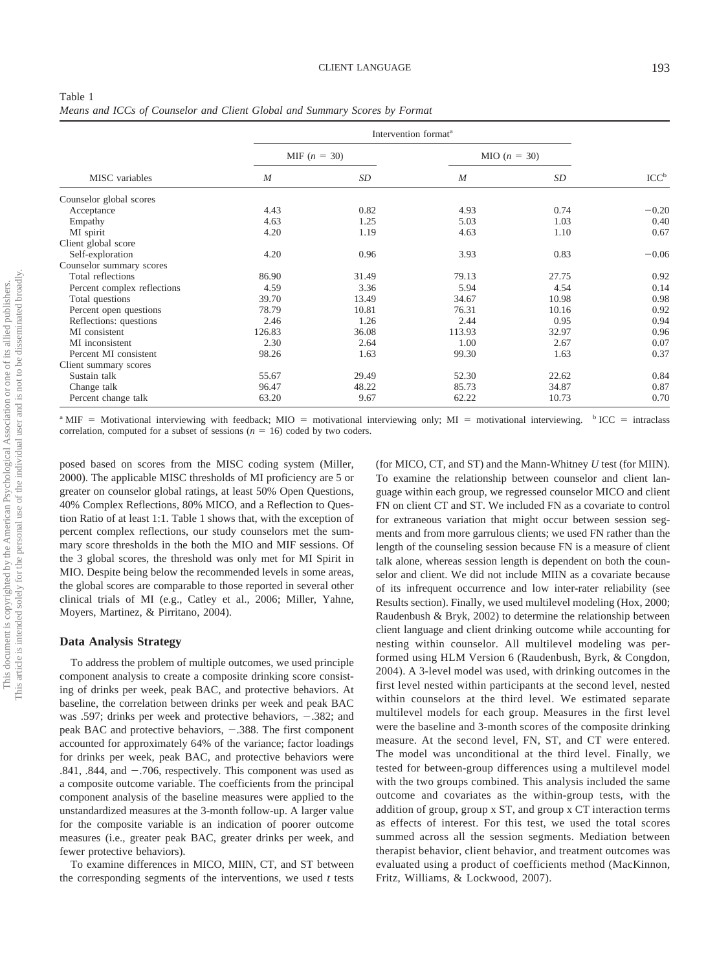| Table 1                                                                    |  |  |  |  |
|----------------------------------------------------------------------------|--|--|--|--|
| Means and ICCs of Counselor and Client Global and Summary Scores by Format |  |  |  |  |

|                             |                  | Intervention format <sup>a</sup> |                  |       |                  |  |  |  |
|-----------------------------|------------------|----------------------------------|------------------|-------|------------------|--|--|--|
|                             | MIF $(n = 30)$   |                                  | $MIO (n = 30)$   |       | ICC <sup>b</sup> |  |  |  |
| MISC variables              | $\boldsymbol{M}$ | SD                               | $\boldsymbol{M}$ | SD    |                  |  |  |  |
| Counselor global scores     |                  |                                  |                  |       |                  |  |  |  |
| Acceptance                  | 4.43             | 0.82                             | 4.93             | 0.74  | $-0.20$          |  |  |  |
| Empathy                     | 4.63             | 1.25                             | 5.03             | 1.03  | 0.40             |  |  |  |
| MI spirit                   | 4.20             | 1.19                             | 4.63             | 1.10  | 0.67             |  |  |  |
| Client global score         |                  |                                  |                  |       |                  |  |  |  |
| Self-exploration            | 4.20             | 0.96                             | 3.93             | 0.83  | $-0.06$          |  |  |  |
| Counselor summary scores    |                  |                                  |                  |       |                  |  |  |  |
| Total reflections           | 86.90            | 31.49                            | 79.13            | 27.75 | 0.92             |  |  |  |
| Percent complex reflections | 4.59             | 3.36                             | 5.94             | 4.54  | 0.14             |  |  |  |
| Total questions             | 39.70            | 13.49                            | 34.67            | 10.98 | 0.98             |  |  |  |
| Percent open questions      | 78.79            | 10.81                            | 76.31            | 10.16 | 0.92             |  |  |  |
| Reflections: questions      | 2.46             | 1.26                             | 2.44             | 0.95  | 0.94             |  |  |  |
| MI consistent               | 126.83           | 36.08                            | 113.93           | 32.97 | 0.96             |  |  |  |
| MI inconsistent             | 2.30             | 2.64                             | 1.00             | 2.67  | 0.07             |  |  |  |
| Percent MI consistent       | 98.26            | 1.63                             | 99.30            | 1.63  | 0.37             |  |  |  |
| Client summary scores       |                  |                                  |                  |       |                  |  |  |  |
| Sustain talk                | 55.67            | 29.49                            | 52.30            | 22.62 | 0.84             |  |  |  |
| Change talk                 | 96.47            | 48.22                            | 85.73            | 34.87 | 0.87             |  |  |  |
| Percent change talk         | 63.20            | 9.67                             | 62.22            | 10.73 | 0.70             |  |  |  |

<sup>a</sup> MIF = Motivational interviewing with feedback; MIO = motivational interviewing only; MI = motivational interviewing.  $\frac{b \text{ ICC}}{c}$  = intraclass correlation, computed for a subset of sessions ( $n = 16$ ) coded by two coders.

posed based on scores from the MISC coding system (Miller, 2000). The applicable MISC thresholds of MI proficiency are 5 or greater on counselor global ratings, at least 50% Open Questions, 40% Complex Reflections, 80% MICO, and a Reflection to Question Ratio of at least 1:1. Table 1 shows that, with the exception of percent complex reflections, our study counselors met the summary score thresholds in the both the MIO and MIF sessions. Of the 3 global scores, the threshold was only met for MI Spirit in MIO. Despite being below the recommended levels in some areas, the global scores are comparable to those reported in several other clinical trials of MI (e.g., Catley et al., 2006; Miller, Yahne, Moyers, Martinez, & Pirritano, 2004).

#### **Data Analysis Strategy**

To address the problem of multiple outcomes, we used principle component analysis to create a composite drinking score consisting of drinks per week, peak BAC, and protective behaviors. At baseline, the correlation between drinks per week and peak BAC was .597; drinks per week and protective behaviors,  $-.382$ ; and peak BAC and protective behaviors,  $-.388$ . The first component accounted for approximately 64% of the variance; factor loadings for drinks per week, peak BAC, and protective behaviors were .841, .844, and  $-.706$ , respectively. This component was used as a composite outcome variable. The coefficients from the principal component analysis of the baseline measures were applied to the unstandardized measures at the 3-month follow-up. A larger value for the composite variable is an indication of poorer outcome measures (i.e., greater peak BAC, greater drinks per week, and fewer protective behaviors).

To examine differences in MICO, MIIN, CT, and ST between the corresponding segments of the interventions, we used *t* tests

(for MICO, CT, and ST) and the Mann-Whitney *U* test (for MIIN). To examine the relationship between counselor and client language within each group, we regressed counselor MICO and client FN on client CT and ST. We included FN as a covariate to control for extraneous variation that might occur between session segments and from more garrulous clients; we used FN rather than the length of the counseling session because FN is a measure of client talk alone, whereas session length is dependent on both the counselor and client. We did not include MIIN as a covariate because of its infrequent occurrence and low inter-rater reliability (see Results section). Finally, we used multilevel modeling (Hox, 2000; Raudenbush & Bryk, 2002) to determine the relationship between client language and client drinking outcome while accounting for nesting within counselor. All multilevel modeling was performed using HLM Version 6 (Raudenbush, Byrk, & Congdon, 2004). A 3-level model was used, with drinking outcomes in the first level nested within participants at the second level, nested within counselors at the third level. We estimated separate multilevel models for each group. Measures in the first level were the baseline and 3-month scores of the composite drinking measure. At the second level, FN, ST, and CT were entered. The model was unconditional at the third level. Finally, we tested for between-group differences using a multilevel model with the two groups combined. This analysis included the same outcome and covariates as the within-group tests, with the addition of group, group x ST, and group x CT interaction terms as effects of interest. For this test, we used the total scores summed across all the session segments. Mediation between therapist behavior, client behavior, and treatment outcomes was evaluated using a product of coefficients method (MacKinnon, Fritz, Williams, & Lockwood, 2007).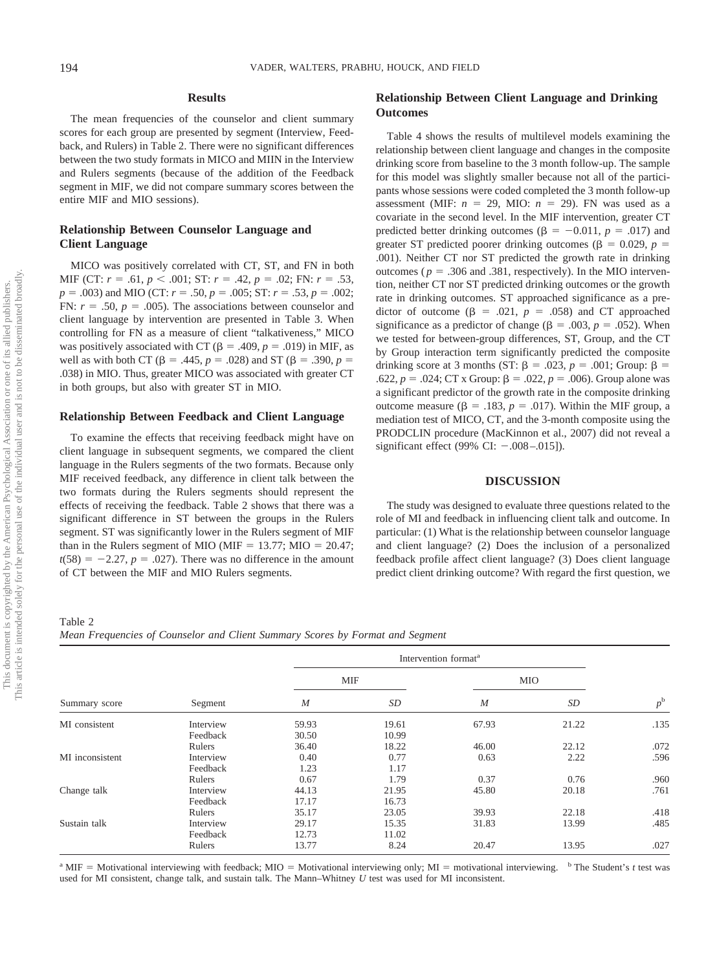## **Results**

The mean frequencies of the counselor and client summary scores for each group are presented by segment (Interview, Feedback, and Rulers) in Table 2. There were no significant differences between the two study formats in MICO and MIIN in the Interview and Rulers segments (because of the addition of the Feedback segment in MIF, we did not compare summary scores between the entire MIF and MIO sessions).

# **Relationship Between Counselor Language and Client Language**

MICO was positively correlated with CT, ST, and FN in both MIF (CT:  $r = .61, p < .001$ ; ST:  $r = .42, p = .02$ ; FN:  $r = .53$ ,  $p = .003$ ) and MIO (CT:  $r = .50$ ,  $p = .005$ ; ST:  $r = .53$ ,  $p = .002$ ; FN:  $r = .50$ ,  $p = .005$ ). The associations between counselor and client language by intervention are presented in Table 3. When controlling for FN as a measure of client "talkativeness," MICO was positively associated with CT ( $\beta$  = .409,  $p$  = .019) in MIF, as well as with both CT ( $\beta$  = .445,  $p$  = .028) and ST ( $\beta$  = .390,  $p$  = .038) in MIO. Thus, greater MICO was associated with greater CT in both groups, but also with greater ST in MIO.

## **Relationship Between Feedback and Client Language**

To examine the effects that receiving feedback might have on client language in subsequent segments, we compared the client language in the Rulers segments of the two formats. Because only MIF received feedback, any difference in client talk between the two formats during the Rulers segments should represent the effects of receiving the feedback. Table 2 shows that there was a significant difference in ST between the groups in the Rulers segment. ST was significantly lower in the Rulers segment of MIF than in the Rulers segment of MIO (MIF  $= 13.77$ ; MIO  $= 20.47$ ;  $t(58) = -2.27$ ,  $p = .027$ ). There was no difference in the amount of CT between the MIF and MIO Rulers segments.

## **Relationship Between Client Language and Drinking Outcomes**

Table 4 shows the results of multilevel models examining the relationship between client language and changes in the composite drinking score from baseline to the 3 month follow-up. The sample for this model was slightly smaller because not all of the participants whose sessions were coded completed the 3 month follow-up assessment (MIF:  $n = 29$ , MIO:  $n = 29$ ). FN was used as a covariate in the second level. In the MIF intervention, greater CT predicted better drinking outcomes ( $\beta = -0.011$ ,  $p = .017$ ) and greater ST predicted poorer drinking outcomes ( $\beta = 0.029$ ,  $p =$ .001). Neither CT nor ST predicted the growth rate in drinking outcomes ( $p = .306$  and .381, respectively). In the MIO intervention, neither CT nor ST predicted drinking outcomes or the growth rate in drinking outcomes. ST approached significance as a predictor of outcome ( $\beta$  = .021,  $p$  = .058) and CT approached significance as a predictor of change ( $\beta = .003$ ,  $p = .052$ ). When we tested for between-group differences, ST, Group, and the CT by Group interaction term significantly predicted the composite drinking score at 3 months (ST:  $\beta$  = .023,  $p$  = .001; Group:  $\beta$  = .622,  $p = .024$ ; CT x Group:  $\beta = .022$ ,  $p = .006$ ). Group alone was a significant predictor of the growth rate in the composite drinking outcome measure ( $β = .183$ ,  $p = .017$ ). Within the MIF group, a mediation test of MICO, CT, and the 3-month composite using the PRODCLIN procedure (MacKinnon et al., 2007) did not reveal a significant effect (99% CI:  $-.008-.015$ ]).

#### **DISCUSSION**

The study was designed to evaluate three questions related to the role of MI and feedback in influencing client talk and outcome. In particular: (1) What is the relationship between counselor language and client language? (2) Does the inclusion of a personalized feedback profile affect client language? (3) Does client language predict client drinking outcome? With regard the first question, we

*Mean Frequencies of Counselor and Client Summary Scores by Format and Segment*

| Summary score   |           |                  | Intervention format <sup>a</sup> |                  |            |             |  |  |
|-----------------|-----------|------------------|----------------------------------|------------------|------------|-------------|--|--|
|                 |           | <b>MIF</b>       |                                  |                  | <b>MIO</b> |             |  |  |
|                 | Segment   | $\boldsymbol{M}$ | SD                               | $\boldsymbol{M}$ | SD         | $p^{\rm b}$ |  |  |
| MI consistent   | Interview | 59.93            | 19.61                            | 67.93            | 21.22      | .135        |  |  |
|                 | Feedback  | 30.50            | 10.99                            |                  |            |             |  |  |
|                 | Rulers    | 36.40            | 18.22                            | 46.00            | 22.12      | .072        |  |  |
| MI inconsistent | Interview | 0.40             | 0.77                             | 0.63             | 2.22       | .596        |  |  |
|                 | Feedback  | 1.23             | 1.17                             |                  |            |             |  |  |
|                 | Rulers    | 0.67             | 1.79                             | 0.37             | 0.76       | .960        |  |  |
| Change talk     | Interview | 44.13            | 21.95                            | 45.80            | 20.18      | .761        |  |  |
|                 | Feedback  | 17.17            | 16.73                            |                  |            |             |  |  |
|                 | Rulers    | 35.17            | 23.05                            | 39.93            | 22.18      | .418        |  |  |
| Sustain talk    | Interview | 29.17            | 15.35                            | 31.83            | 13.99      | .485        |  |  |
|                 | Feedback  | 12.73            | 11.02                            |                  |            |             |  |  |
|                 | Rulers    | 13.77            | 8.24                             | 20.47            | 13.95      | .027        |  |  |

<sup>a</sup> MIF = Motivational interviewing with feedback; MIO = Motivational interviewing only; MI = motivational interviewing.  $\frac{b}{c}$  The Student's *t* test was used for MI consistent, change talk, and sustain talk. The Mann–Whitney *U* test was used for MI inconsistent.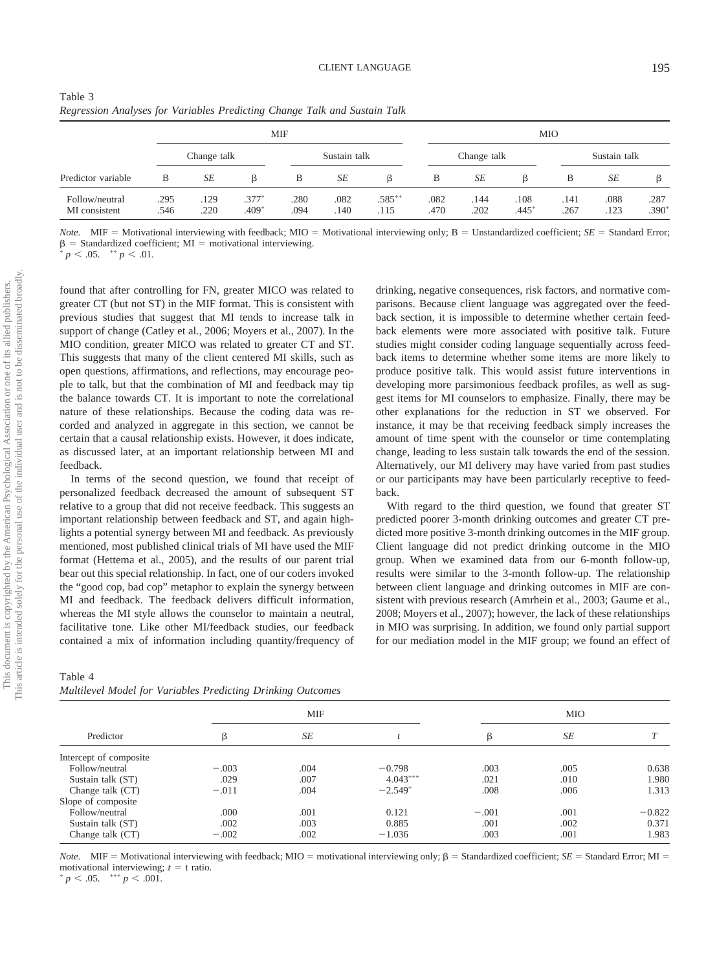| Table 3                                                                   |  |  |
|---------------------------------------------------------------------------|--|--|
| Regression Analyses for Variables Predicting Change Talk and Sustain Talk |  |  |

|                                 |              |              |                    | MIF          |              | <b>MIO</b>        |              |              |                 |              |              |                 |
|---------------------------------|--------------|--------------|--------------------|--------------|--------------|-------------------|--------------|--------------|-----------------|--------------|--------------|-----------------|
|                                 | Change talk  |              |                    |              | Sustain talk |                   |              | Change talk  |                 |              | Sustain talk |                 |
| Predictor variable              | B            | SE           | ß                  | B            | SE           | ß                 | B            | SE           | ß               | B            | SE           | ß               |
| Follow/neutral<br>MI consistent | .295<br>.546 | .129<br>.220 | $.377*$<br>$.409*$ | .280<br>.094 | .082<br>.140 | $.585***$<br>.115 | .082<br>.470 | .144<br>.202 | .108<br>$.445*$ | .141<br>.267 | .088<br>.123 | .287<br>$.390*$ |

*Note.* MIF = Motivational interviewing with feedback; MIO = Motivational interviewing only;  $B =$  Unstandardized coefficient;  $SE =$  Standard Error;  $\beta$  = Standardized coefficient; MI = motivational interviewing.<br> *\* p* < .05. \*\* *p* < .01.

 $< .05.$  \*\*  $p < .01.$ 

found that after controlling for FN, greater MICO was related to greater CT (but not ST) in the MIF format. This is consistent with previous studies that suggest that MI tends to increase talk in support of change (Catley et al., 2006; Moyers et al., 2007). In the MIO condition, greater MICO was related to greater CT and ST. This suggests that many of the client centered MI skills, such as open questions, affirmations, and reflections, may encourage people to talk, but that the combination of MI and feedback may tip the balance towards CT. It is important to note the correlational nature of these relationships. Because the coding data was recorded and analyzed in aggregate in this section, we cannot be certain that a causal relationship exists. However, it does indicate, as discussed later, at an important relationship between MI and feedback.

In terms of the second question, we found that receipt of personalized feedback decreased the amount of subsequent ST relative to a group that did not receive feedback. This suggests an important relationship between feedback and ST, and again highlights a potential synergy between MI and feedback. As previously mentioned, most published clinical trials of MI have used the MIF format (Hettema et al., 2005), and the results of our parent trial bear out this special relationship. In fact, one of our coders invoked the "good cop, bad cop" metaphor to explain the synergy between MI and feedback. The feedback delivers difficult information, whereas the MI style allows the counselor to maintain a neutral, facilitative tone. Like other MI/feedback studies, our feedback contained a mix of information including quantity/frequency of

drinking, negative consequences, risk factors, and normative comparisons. Because client language was aggregated over the feedback section, it is impossible to determine whether certain feedback elements were more associated with positive talk. Future studies might consider coding language sequentially across feedback items to determine whether some items are more likely to produce positive talk. This would assist future interventions in developing more parsimonious feedback profiles, as well as suggest items for MI counselors to emphasize. Finally, there may be other explanations for the reduction in ST we observed. For instance, it may be that receiving feedback simply increases the amount of time spent with the counselor or time contemplating change, leading to less sustain talk towards the end of the session. Alternatively, our MI delivery may have varied from past studies or our participants may have been particularly receptive to feedback.

With regard to the third question, we found that greater ST predicted poorer 3-month drinking outcomes and greater CT predicted more positive 3-month drinking outcomes in the MIF group. Client language did not predict drinking outcome in the MIO group. When we examined data from our 6-month follow-up, results were similar to the 3-month follow-up. The relationship between client language and drinking outcomes in MIF are consistent with previous research (Amrhein et al., 2003; Gaume et al., 2008; Moyers et al., 2007); however, the lack of these relationships in MIO was surprising. In addition, we found only partial support for our mediation model in the MIF group; we found an effect of

MIF MIO  $\beta$  *SE t*  $\beta$  *SE T* 

Table 4 *Multilevel Model for Variables Predicting Drinking Outcomes*

| Sustain talk (ST)                                                                                                                                                                                             | .002    | .003 | 0.885    | .001 | .002 | 0.371 |
|---------------------------------------------------------------------------------------------------------------------------------------------------------------------------------------------------------------|---------|------|----------|------|------|-------|
| Change talk (CT)                                                                                                                                                                                              | $-.002$ | .002 | $-1.036$ | 003  | .001 | 1.983 |
| <i>Note.</i> MIF = Motivational interviewing with feedback; MIO = motivational interviewing only; $\beta$ = Standardized coefficient; $SE$ = Standard Error; MI =<br>motivational interviewing: $t = t$ ratio |         |      |          |      |      |       |

 $F$ ollow/neutral  $-0.03$  .004  $-0.798$  .003 .005 .005 .003 Sustain talk (ST) .029 .007 .021 .021 .010 .010 1.980 Change talk (CT)  $-0.01$  .004  $-2.549^*$  .008 .006 1.313

 $\text{Follow/neutral} \quad .000 \quad .001 \quad 0.121 \quad -0.01 \quad .001 \quad -0.822$ 

motivational interviewing;  $t =$  t ratio.<br> *p* < .05. \*\*\* *p* < .001.

Predictor

Intercept of composite

Slope of composite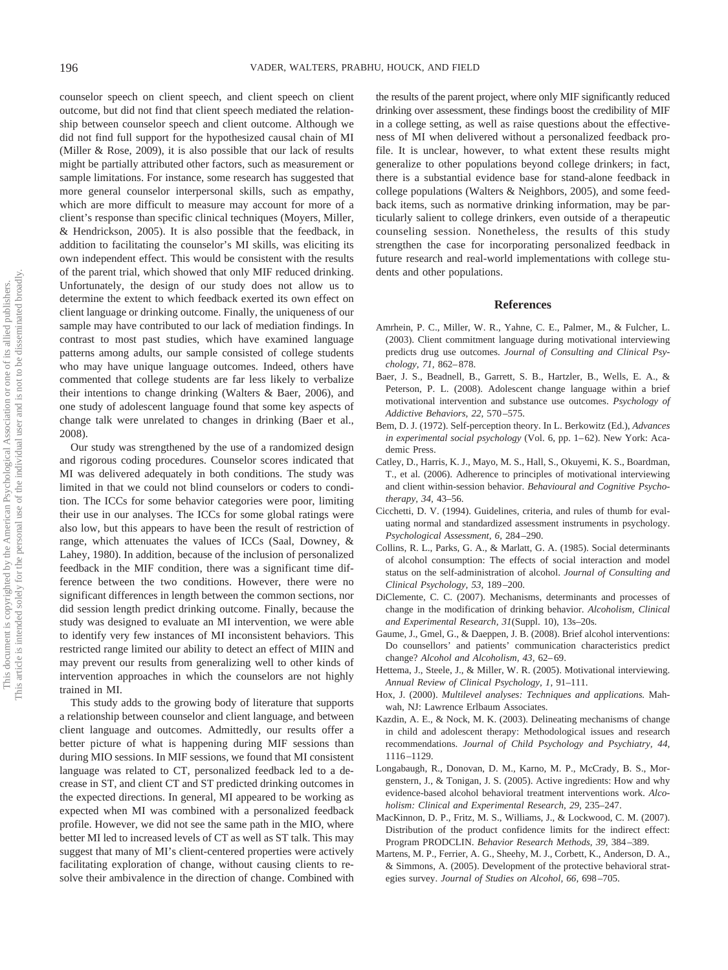counselor speech on client speech, and client speech on client outcome, but did not find that client speech mediated the relationship between counselor speech and client outcome. Although we did not find full support for the hypothesized causal chain of MI (Miller & Rose, 2009), it is also possible that our lack of results might be partially attributed other factors, such as measurement or sample limitations. For instance, some research has suggested that more general counselor interpersonal skills, such as empathy, which are more difficult to measure may account for more of a client's response than specific clinical techniques (Moyers, Miller, & Hendrickson, 2005). It is also possible that the feedback, in addition to facilitating the counselor's MI skills, was eliciting its own independent effect. This would be consistent with the results of the parent trial, which showed that only MIF reduced drinking. Unfortunately, the design of our study does not allow us to determine the extent to which feedback exerted its own effect on client language or drinking outcome. Finally, the uniqueness of our sample may have contributed to our lack of mediation findings. In contrast to most past studies, which have examined language patterns among adults, our sample consisted of college students who may have unique language outcomes. Indeed, others have commented that college students are far less likely to verbalize their intentions to change drinking (Walters & Baer, 2006), and one study of adolescent language found that some key aspects of change talk were unrelated to changes in drinking (Baer et al., 2008).

Our study was strengthened by the use of a randomized design and rigorous coding procedures. Counselor scores indicated that MI was delivered adequately in both conditions. The study was limited in that we could not blind counselors or coders to condition. The ICCs for some behavior categories were poor, limiting their use in our analyses. The ICCs for some global ratings were also low, but this appears to have been the result of restriction of range, which attenuates the values of ICCs (Saal, Downey, & Lahey, 1980). In addition, because of the inclusion of personalized feedback in the MIF condition, there was a significant time difference between the two conditions. However, there were no significant differences in length between the common sections, nor did session length predict drinking outcome. Finally, because the study was designed to evaluate an MI intervention, we were able to identify very few instances of MI inconsistent behaviors. This restricted range limited our ability to detect an effect of MIIN and may prevent our results from generalizing well to other kinds of intervention approaches in which the counselors are not highly trained in MI.

This study adds to the growing body of literature that supports a relationship between counselor and client language, and between client language and outcomes. Admittedly, our results offer a better picture of what is happening during MIF sessions than during MIO sessions. In MIF sessions, we found that MI consistent language was related to CT, personalized feedback led to a decrease in ST, and client CT and ST predicted drinking outcomes in the expected directions. In general, MI appeared to be working as expected when MI was combined with a personalized feedback profile. However, we did not see the same path in the MIO, where better MI led to increased levels of CT as well as ST talk. This may suggest that many of MI's client-centered properties were actively facilitating exploration of change, without causing clients to resolve their ambivalence in the direction of change. Combined with

the results of the parent project, where only MIF significantly reduced drinking over assessment, these findings boost the credibility of MIF in a college setting, as well as raise questions about the effectiveness of MI when delivered without a personalized feedback profile. It is unclear, however, to what extent these results might generalize to other populations beyond college drinkers; in fact, there is a substantial evidence base for stand-alone feedback in college populations (Walters & Neighbors, 2005), and some feedback items, such as normative drinking information, may be particularly salient to college drinkers, even outside of a therapeutic counseling session. Nonetheless, the results of this study strengthen the case for incorporating personalized feedback in future research and real-world implementations with college students and other populations.

#### **References**

- Amrhein, P. C., Miller, W. R., Yahne, C. E., Palmer, M., & Fulcher, L. (2003). Client commitment language during motivational interviewing predicts drug use outcomes. *Journal of Consulting and Clinical Psychology, 71,* 862– 878.
- Baer, J. S., Beadnell, B., Garrett, S. B., Hartzler, B., Wells, E. A., & Peterson, P. L. (2008). Adolescent change language within a brief motivational intervention and substance use outcomes. *Psychology of Addictive Behaviors, 22,* 570 –575.
- Bem, D. J. (1972). Self-perception theory. In L. Berkowitz (Ed.), *Advances* in experimental social psychology (Vol. 6, pp. 1-62). New York: Academic Press.
- Catley, D., Harris, K. J., Mayo, M. S., Hall, S., Okuyemi, K. S., Boardman, T., et al. (2006). Adherence to principles of motivational interviewing and client within-session behavior. *Behavioural and Cognitive Psychotherapy, 34,* 43–56.
- Cicchetti, D. V. (1994). Guidelines, criteria, and rules of thumb for evaluating normal and standardized assessment instruments in psychology. *Psychological Assessment, 6,* 284 –290.
- Collins, R. L., Parks, G. A., & Marlatt, G. A. (1985). Social determinants of alcohol consumption: The effects of social interaction and model status on the self-administration of alcohol. *Journal of Consulting and Clinical Psychology, 53,* 189 –200.
- DiClemente, C. C. (2007). Mechanisms, determinants and processes of change in the modification of drinking behavior. *Alcoholism, Clinical and Experimental Research, 31*(Suppl. 10), 13s–20s.
- Gaume, J., Gmel, G., & Daeppen, J. B. (2008). Brief alcohol interventions: Do counsellors' and patients' communication characteristics predict change? *Alcohol and Alcoholism, 43,* 62– 69.
- Hettema, J., Steele, J., & Miller, W. R. (2005). Motivational interviewing. *Annual Review of Clinical Psychology, 1,* 91–111.
- Hox, J. (2000). *Multilevel analyses: Techniques and applications.* Mahwah, NJ: Lawrence Erlbaum Associates.
- Kazdin, A. E., & Nock, M. K. (2003). Delineating mechanisms of change in child and adolescent therapy: Methodological issues and research recommendations. *Journal of Child Psychology and Psychiatry, 44,* 1116 –1129.
- Longabaugh, R., Donovan, D. M., Karno, M. P., McCrady, B. S., Morgenstern, J., & Tonigan, J. S. (2005). Active ingredients: How and why evidence-based alcohol behavioral treatment interventions work. *Alcoholism: Clinical and Experimental Research, 29,* 235–247.
- MacKinnon, D. P., Fritz, M. S., Williams, J., & Lockwood, C. M. (2007). Distribution of the product confidence limits for the indirect effect: Program PRODCLIN. *Behavior Research Methods, 39,* 384 –389.
- Martens, M. P., Ferrier, A. G., Sheehy, M. J., Corbett, K., Anderson, D. A., & Simmons, A. (2005). Development of the protective behavioral strategies survey. *Journal of Studies on Alcohol, 66,* 698 –705.